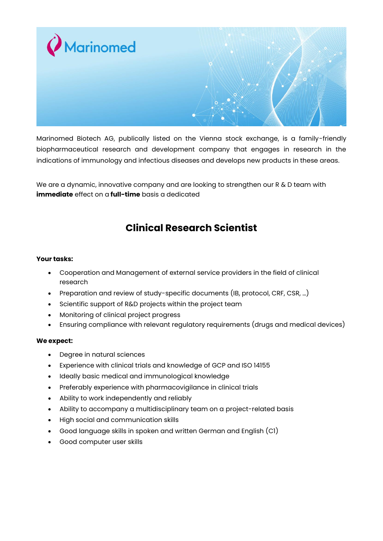

Marinomed Biotech AG, publically listed on the Vienna stock exchange, is a family-friendly biopharmaceutical research and development company that engages in research in the indications of immunology and infectious diseases and develops new products in these areas.

We are a dynamic, innovative company and are looking to strengthen our R & D team with **immediate** effect on a **full-time** basis a dedicated

## **Clinical Research Scientist**

## **Your tasks:**

- Cooperation and Management of external service providers in the field of clinical research
- Preparation and review of study-specific documents (IB, protocol, CRF, CSR, ...)
- Scientific support of R&D projects within the project team
- Monitoring of clinical project progress
- Ensuring compliance with relevant regulatory requirements (drugs and medical devices)

## **We expect:**

- Degree in natural sciences
- Experience with clinical trials and knowledge of GCP and ISO 14155
- Ideally basic medical and immunological knowledge
- Preferably experience with pharmacovigilance in clinical trials
- Ability to work independently and reliably
- Ability to accompany a multidisciplinary team on a project-related basis
- High social and communication skills
- Good language skills in spoken and written German and English (C1)
- Good computer user skills